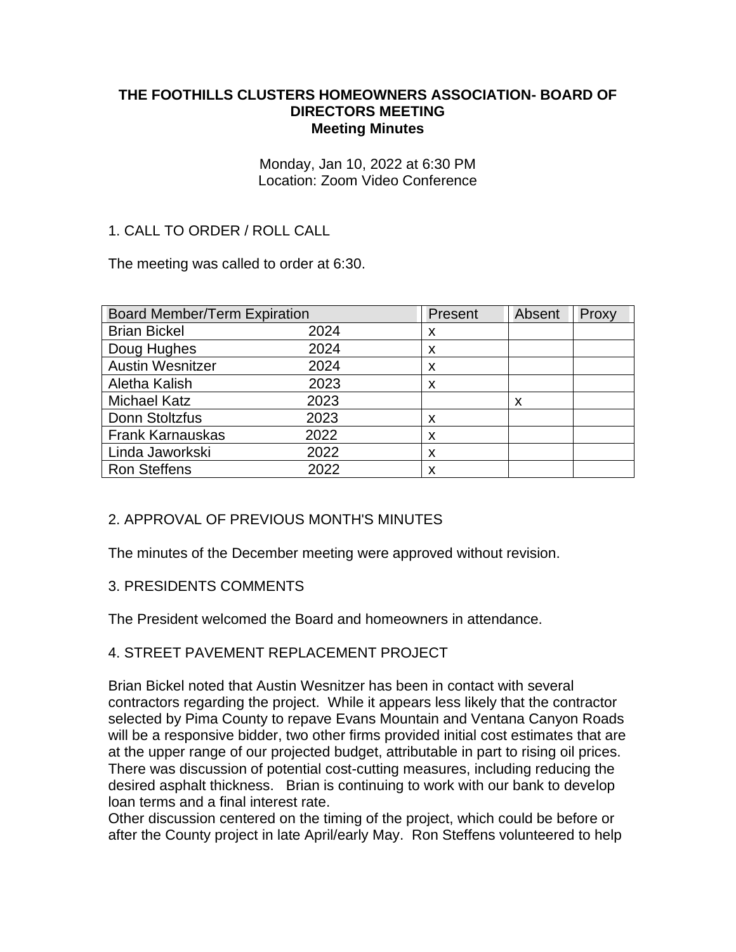### **THE FOOTHILLS CLUSTERS HOMEOWNERS ASSOCIATION- BOARD OF DIRECTORS MEETING Meeting Minutes**

Monday, Jan 10, 2022 at 6:30 PM Location: Zoom Video Conference

# 1. CALL TO ORDER / ROLL CALL

The meeting was called to order at 6:30.

| <b>Board Member/Term Expiration</b> |      | Present | Absent | Proxy |
|-------------------------------------|------|---------|--------|-------|
| <b>Brian Bickel</b>                 | 2024 | х       |        |       |
| Doug Hughes                         | 2024 | X       |        |       |
| <b>Austin Wesnitzer</b>             | 2024 | X       |        |       |
| Aletha Kalish                       | 2023 | x       |        |       |
| <b>Michael Katz</b>                 | 2023 |         | x      |       |
| Donn Stoltzfus                      | 2023 | x       |        |       |
| <b>Frank Karnauskas</b>             | 2022 | x       |        |       |
| Linda Jaworkski                     | 2022 | X       |        |       |
| <b>Ron Steffens</b>                 | 2022 | x       |        |       |

## 2. APPROVAL OF PREVIOUS MONTH'S MINUTES

The minutes of the December meeting were approved without revision.

## 3. PRESIDENTS COMMENTS

The President welcomed the Board and homeowners in attendance.

## 4. STREET PAVEMENT REPLACEMENT PROJECT

Brian Bickel noted that Austin Wesnitzer has been in contact with several contractors regarding the project. While it appears less likely that the contractor selected by Pima County to repave Evans Mountain and Ventana Canyon Roads will be a responsive bidder, two other firms provided initial cost estimates that are at the upper range of our projected budget, attributable in part to rising oil prices. There was discussion of potential cost-cutting measures, including reducing the desired asphalt thickness. Brian is continuing to work with our bank to develop loan terms and a final interest rate.

Other discussion centered on the timing of the project, which could be before or after the County project in late April/early May. Ron Steffens volunteered to help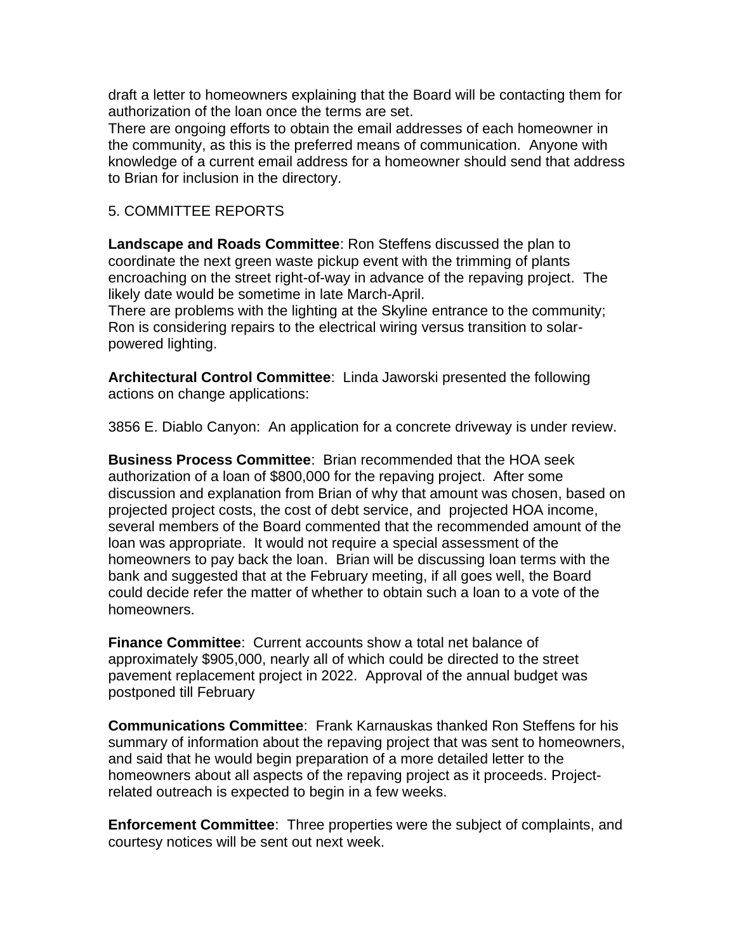draft a letter to homeowners explaining that the Board will be contacting them for authorization of the loan once the terms are set.

There are ongoing efforts to obtain the email addresses of each homeowner in the community, as this is the preferred means of communication. Anyone with knowledge of a current email address for a homeowner should send that address to Brian for inclusion in the directory.

## 5. COMMITTEE REPORTS

**Landscape and Roads Committee**: Ron Steffens discussed the plan to coordinate the next green waste pickup event with the trimming of plants encroaching on the street right-of-way in advance of the repaving project. The likely date would be sometime in late March-April.

There are problems with the lighting at the Skyline entrance to the community; Ron is considering repairs to the electrical wiring versus transition to solarpowered lighting.

**Architectural Control Committee**: Linda Jaworski presented the following actions on change applications:

3856 E. Diablo Canyon: An application for a concrete driveway is under review.

**Business Process Committee**: Brian recommended that the HOA seek authorization of a loan of \$800,000 for the repaving project. After some discussion and explanation from Brian of why that amount was chosen, based on projected project costs, the cost of debt service, and projected HOA income, several members of the Board commented that the recommended amount of the loan was appropriate. It would not require a special assessment of the homeowners to pay back the loan. Brian will be discussing loan terms with the bank and suggested that at the February meeting, if all goes well, the Board could decide refer the matter of whether to obtain such a loan to a vote of the homeowners.

**Finance Committee**: Current accounts show a total net balance of approximately \$905,000, nearly all of which could be directed to the street pavement replacement project in 2022. Approval of the annual budget was postponed till February

**Communications Committee**: Frank Karnauskas thanked Ron Steffens for his summary of information about the repaving project that was sent to homeowners, and said that he would begin preparation of a more detailed letter to the homeowners about all aspects of the repaving project as it proceeds. Projectrelated outreach is expected to begin in a few weeks.

**Enforcement Committee**: Three properties were the subject of complaints, and courtesy notices will be sent out next week.